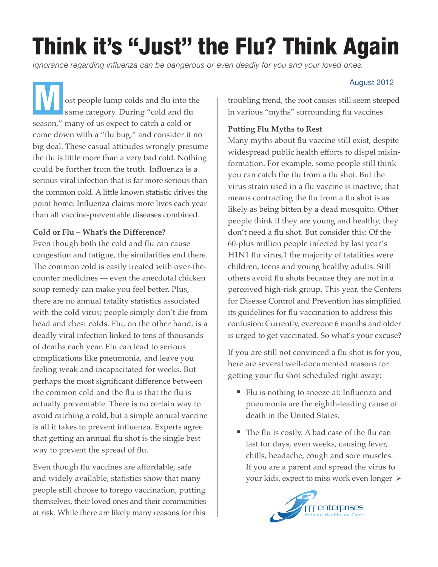## Think it's "Just" the Flu? Think Again

*Ignorance regarding influenza can be dangerous or even deadly for you and your loved ones.*

 ost people lump colds and flu into the August 2012<br>
ost people lump colds and flu into the same category. During "cold and flu state in various "myths" surrounding flu vaccines. season," many of us expect to catch a cold or come down with a "flu bug," and consider it no big deal. These casual attitudes wrongly presume the flu is little more than a very bad cold. Nothing could be further from the truth. Influenza is a serious viral infection that is far more serious than the common cold. A little known statistic drives the point home: Influenza claims more lives each year than all vaccine-preventable diseases combined.

## **Cold or Flu – What's the Difference?**

Even though both the cold and flu can cause congestion and fatigue, the similarities end there. The common cold is easily treated with over-thecounter medicines — even the anecdotal chicken soup remedy can make you feel better. Plus, there are no annual fatality statistics associated with the cold virus; people simply don't die from head and chest colds. Flu, on the other hand, is a deadly viral infection linked to tens of thousands of deaths each year. Flu can lead to serious complications like pneumonia, and leave you feeling weak and incapacitated for weeks. But perhaps the most significant difference between the common cold and the flu is that the flu is actually preventable. There is no certain way to avoid catching a cold, but a simple annual vaccine is all it takes to prevent influenza. Experts agree that getting an annual flu shot is the single best way to prevent the spread of flu.

Even though flu vaccines are affordable, safe and widely available, statistics show that many people still choose to forego vaccination, putting themselves, their loved ones and their communities at risk. While there are likely many reasons for this

troubling trend, the root causes still seem steeped in various "myths" surrounding flu vaccines.

## **Putting Flu Myths to Rest**

Many myths about flu vaccine still exist, despite widespread public health efforts to dispel misinformation. For example, some people still think you can catch the flu from a flu shot. But the virus strain used in a flu vaccine is inactive; that means contracting the flu from a flu shot is as likely as being bitten by a dead mosquito. Other people think if they are young and healthy, they don't need a flu shot. But consider this: Of the 60-plus million people infected by last year's H1N1 flu virus,1 the majority of fatalities were children, teens and young healthy adults. Still others avoid flu shots because they are not in a perceived high-risk group. This year, the Centers for Disease Control and Prevention has simplified its guidelines for flu vaccination to address this confusion: Currently, everyone 6 months and older is urged to get vaccinated. So what's your excuse?

If you are still not convinced a flu shot is for you, here are several well-documented reasons for getting your flu shot scheduled right away:

- Flu is nothing to sneeze at: Influenza and pneumonia are the eighth-leading cause of death in the United States.
- The flu is costly. A bad case of the flu can last for days, even weeks, causing fever, chills, headache, cough and sore muscles. If you are a parent and spread the virus to your kids, expect to miss work even longer